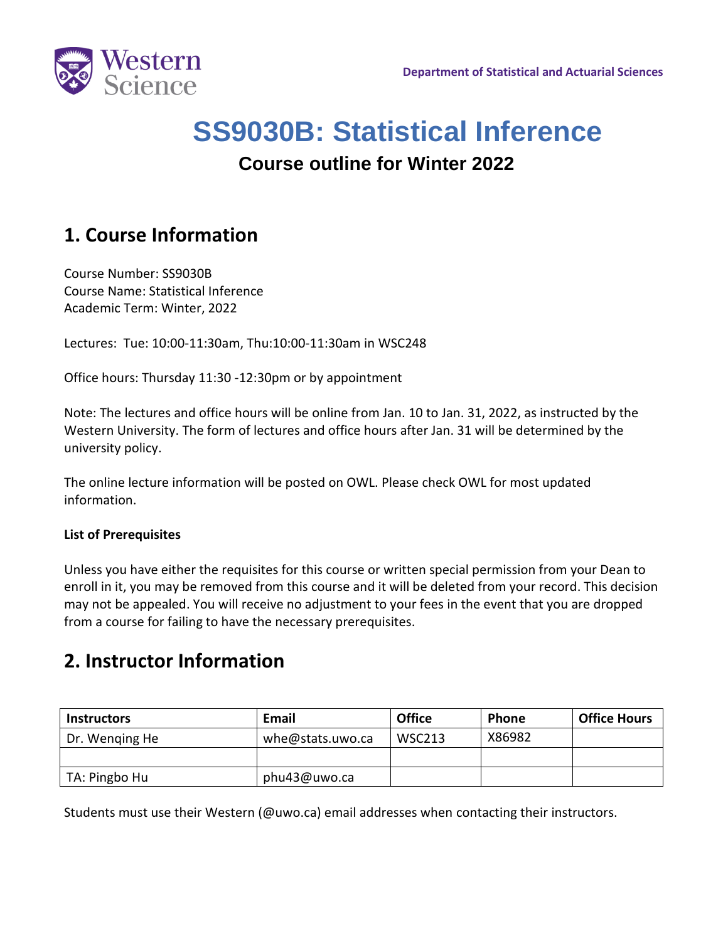

# **SS9030B: Statistical Inference**

### **Course outline for Winter 2022**

# **1. Course Information**

Course Number: SS9030B Course Name: Statistical Inference Academic Term: Winter, 2022

Lectures: Tue: 10:00-11:30am, Thu:10:00-11:30am in WSC248

Office hours: Thursday 11:30 -12:30pm or by appointment

Note: The lectures and office hours will be online from Jan. 10 to Jan. 31, 2022, as instructed by the Western University. The form of lectures and office hours after Jan. 31 will be determined by the university policy.

The online lecture information will be posted on OWL. Please check OWL for most updated information.

### **List of Prerequisites**

Unless you have either the requisites for this course or written special permission from your Dean to enroll in it, you may be removed from this course and it will be deleted from your record. This decision may not be appealed. You will receive no adjustment to your fees in the event that you are dropped from a course for failing to have the necessary prerequisites.

### **2. Instructor Information**

| <b>Instructors</b> | Email            | <b>Office</b> | <b>Phone</b> | <b>Office Hours</b> |
|--------------------|------------------|---------------|--------------|---------------------|
| Dr. Wenging He     | whe@stats.uwo.ca | <b>WSC213</b> | X86982       |                     |
|                    |                  |               |              |                     |
| TA: Pingbo Hu      | phu43@uwo.ca     |               |              |                     |

Students must use their Western (@uwo.ca) email addresses when contacting their instructors.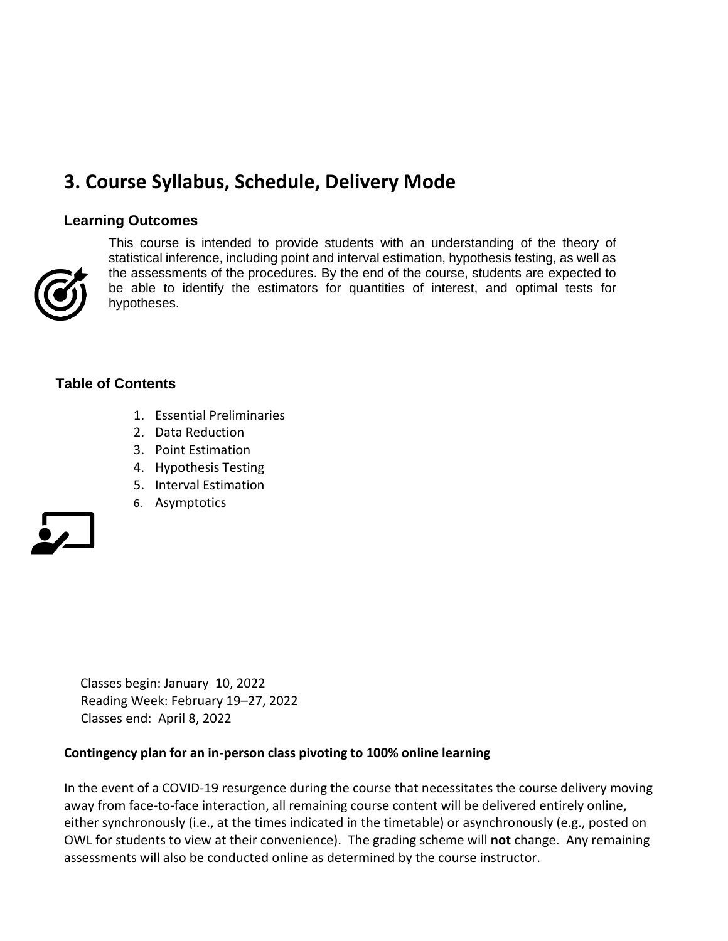# **3. Course Syllabus, Schedule, Delivery Mode**

#### **Learning Outcomes**



This course is intended to provide students with an understanding of the theory of statistical inference, including point and interval estimation, hypothesis testing, as well as the assessments of the procedures. By the end of the course, students are expected to be able to identify the estimators for quantities of interest, and optimal tests for hypotheses.

#### **Table of Contents**

- 1. Essential Preliminaries
- 2. Data Reduction
- 3. Point Estimation
- 4. Hypothesis Testing
- 5. Interval Estimation
- 6. Asymptotics



 Classes begin: January 10, 2022 Reading Week: February 19–27, 2022 Classes end: April 8, 2022

#### **Contingency plan for an in-person class pivoting to 100% online learning**

In the event of a COVID-19 resurgence during the course that necessitates the course delivery moving away from face-to-face interaction, all remaining course content will be delivered entirely online, either synchronously (i.e., at the times indicated in the timetable) or asynchronously (e.g., posted on OWL for students to view at their convenience). The grading scheme will **not** change. Any remaining assessments will also be conducted online as determined by the course instructor.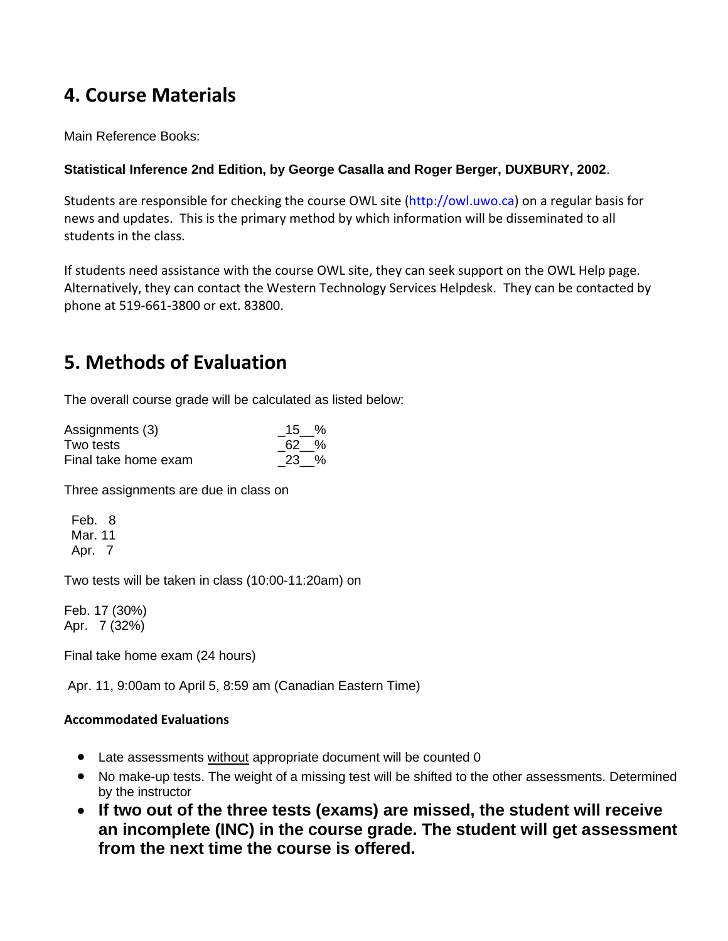### **4. Course Materials**

Main Reference Books:

### **Statistical Inference 2nd Edition, by George Casalla and Roger Berger, DUXBURY, 2002**.

Students are responsible for checking the course OWL site (http://owl.uwo.ca) on a regular basis for news and updates. This is the primary method by which information will be disseminated to all students in the class.

If students need assistance with the course OWL site, they can seek support on the OWL Help page. Alternatively, they can contact the Western Technology Services Helpdesk. They can be contacted by phone at 519-661-3800 or ext. 83800.

### **5. Methods of Evaluation**

The overall course grade will be calculated as listed below:

| Assignments (3)      | 15 % |
|----------------------|------|
| Two tests            | 62 % |
| Final take home exam | 23 % |

Three assignments are due in class on

 Feb. 8 Mar. 11 Apr. 7

Two tests will be taken in class (10:00-11:20am) on

Feb. 17 (30%) Apr. 7 (32%)

Final take home exam (24 hours)

Apr. 11, 9:00am to April 5, 8:59 am (Canadian Eastern Time)

### **Accommodated Evaluations**

- Late assessments without appropriate document will be counted 0
- No make-up tests. The weight of a missing test will be shifted to the other assessments. Determined by the instructor
- **If two out of the three tests (exams) are missed, the student will receive an incomplete (INC) in the course grade. The student will get assessment from the next time the course is offered.**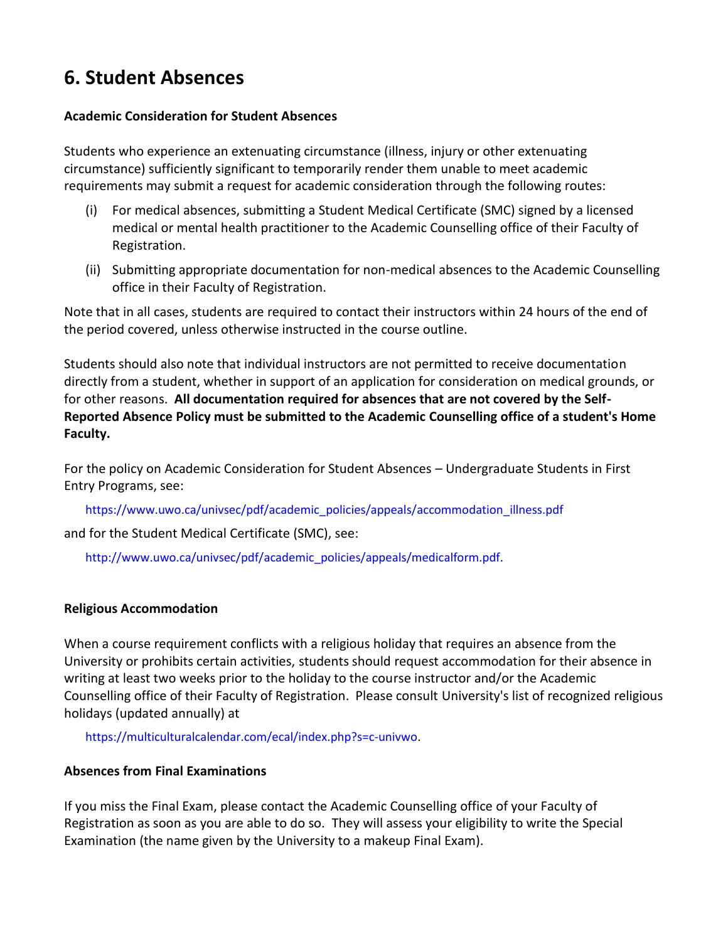# **6. Student Absences**

### **Academic Consideration for Student Absences**

Students who experience an extenuating circumstance (illness, injury or other extenuating circumstance) sufficiently significant to temporarily render them unable to meet academic requirements may submit a request for academic consideration through the following routes:

- (i) For medical absences, submitting a Student Medical Certificate (SMC) signed by a licensed medical or mental health practitioner to the Academic Counselling office of their Faculty of Registration.
- (ii) Submitting appropriate documentation for non-medical absences to the Academic Counselling office in their Faculty of Registration.

Note that in all cases, students are required to contact their instructors within 24 hours of the end of the period covered, unless otherwise instructed in the course outline.

Students should also note that individual instructors are not permitted to receive documentation directly from a student, whether in support of an application for consideration on medical grounds, or for other reasons. **All documentation required for absences that are not covered by the Self-Reported Absence Policy must be submitted to the Academic Counselling office of a student's Home Faculty.**

For the policy on Academic Consideration for Student Absences – Undergraduate Students in First Entry Programs, see:

https://www.uwo.ca/univsec/pdf/academic\_policies/appeals/accommodation\_illness.pdf

and for the Student Medical Certificate (SMC), see:

http://www.uwo.ca/univsec/pdf/academic\_policies/appeals/medicalform.pdf.

#### **Religious Accommodation**

When a course requirement conflicts with a religious holiday that requires an absence from the University or prohibits certain activities, students should request accommodation for their absence in writing at least two weeks prior to the holiday to the course instructor and/or the Academic Counselling office of their Faculty of Registration. Please consult University's list of recognized religious holidays (updated annually) at

https://multiculturalcalendar.com/ecal/index.php?s=c-univwo.

#### **Absences from Final Examinations**

If you miss the Final Exam, please contact the Academic Counselling office of your Faculty of Registration as soon as you are able to do so. They will assess your eligibility to write the Special Examination (the name given by the University to a makeup Final Exam).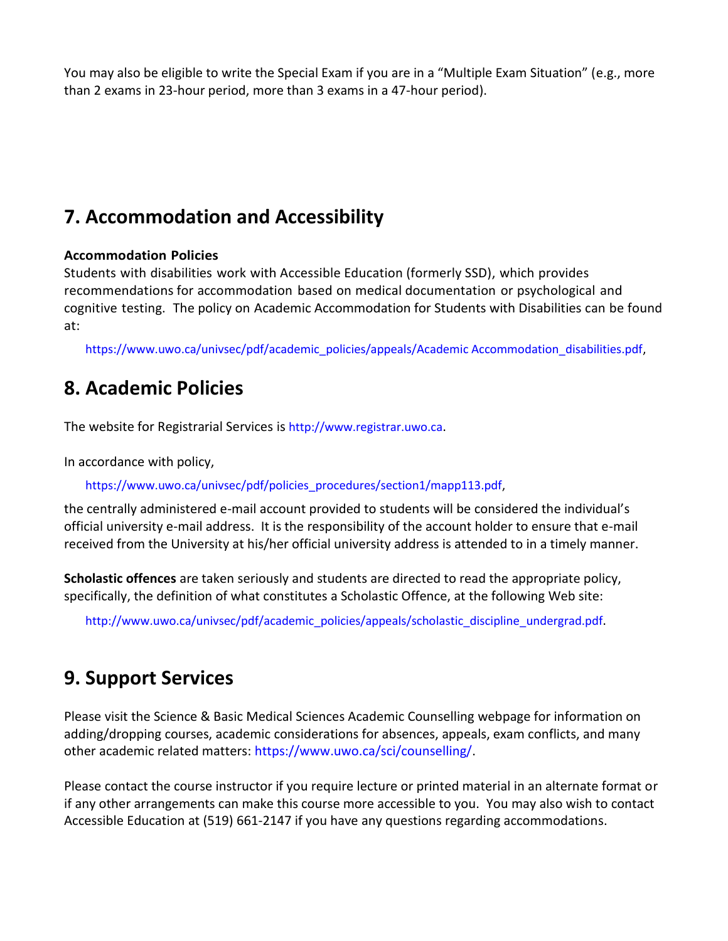You may also be eligible to write the Special Exam if you are in a "Multiple Exam Situation" (e.g., more than 2 exams in 23-hour period, more than 3 exams in a 47-hour period).

# **7. Accommodation and Accessibility**

### **Accommodation Policies**

Students with disabilities work with Accessible Education (formerly SSD), which provides recommendations for accommodation based on medical documentation or psychological and cognitive testing. The policy on Academic Accommodation for Students with Disabilities can be found at:

https://www.uwo.ca/univsec/pdf/academic\_policies/appeals/Academic Accommodation\_disabilities.pdf,

### **8. Academic Policies**

The website for Registrarial Services is http://www.registrar.uwo.ca.

In accordance with policy,

https://www.uwo.ca/univsec/pdf/policies\_procedures/section1/mapp113.pdf,

the centrally administered e-mail account provided to students will be considered the individual's official university e-mail address. It is the responsibility of the account holder to ensure that e-mail received from the University at his/her official university address is attended to in a timely manner.

**Scholastic offences** are taken seriously and students are directed to read the appropriate policy, specifically, the definition of what constitutes a Scholastic Offence, at the following Web site:

http://www.uwo.ca/univsec/pdf/academic\_policies/appeals/scholastic\_discipline\_undergrad.pdf.

### **9. Support Services**

Please visit the Science & Basic Medical Sciences Academic Counselling webpage for information on adding/dropping courses, academic considerations for absences, appeals, exam conflicts, and many other academic related matters: https://www.uwo.ca/sci/counselling/.

Please contact the course instructor if you require lecture or printed material in an alternate format or if any other arrangements can make this course more accessible to you. You may also wish to contact Accessible Education at (519) 661-2147 if you have any questions regarding accommodations.